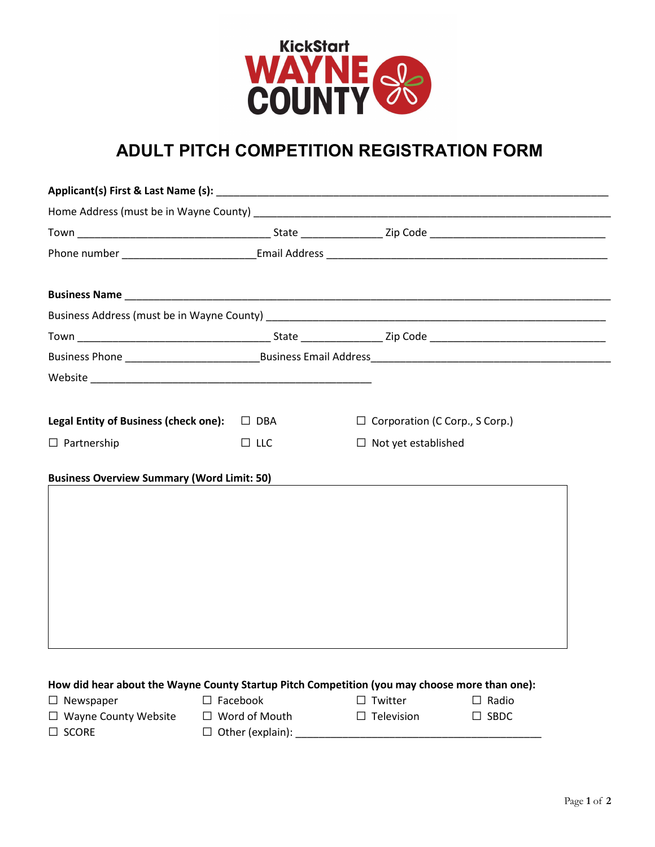

## **ADULT PITCH COMPETITION REGISTRATION FORM**

| Legal Entity of Business (check one): $\Box$ DBA                                              |                                         | $\Box$ Corporation (C Corp., S Corp.) |                             |  |  |
|-----------------------------------------------------------------------------------------------|-----------------------------------------|---------------------------------------|-----------------------------|--|--|
| $\Box$ Partnership                                                                            | $\Box$ LLC                              | $\Box$ Not yet established            |                             |  |  |
| <b>Business Overview Summary (Word Limit: 50)</b>                                             |                                         |                                       |                             |  |  |
| How did hear about the Wayne County Startup Pitch Competition (you may choose more than one): |                                         |                                       |                             |  |  |
| $\Box$ Newspaper<br>$\Box$ Wayne County Website                                               | $\Box$ Facebook<br>$\Box$ Word of Mouth | $\Box$ Twitter<br>$\Box$ Television   | $\Box$ Radio<br>$\Box$ SBDC |  |  |
|                                                                                               |                                         |                                       |                             |  |  |

☐ SCORE ☐ Other (explain): \_\_\_\_\_\_\_\_\_\_\_\_\_\_\_\_\_\_\_\_\_\_\_\_\_\_\_\_\_\_\_\_\_\_\_\_\_\_\_\_\_\_